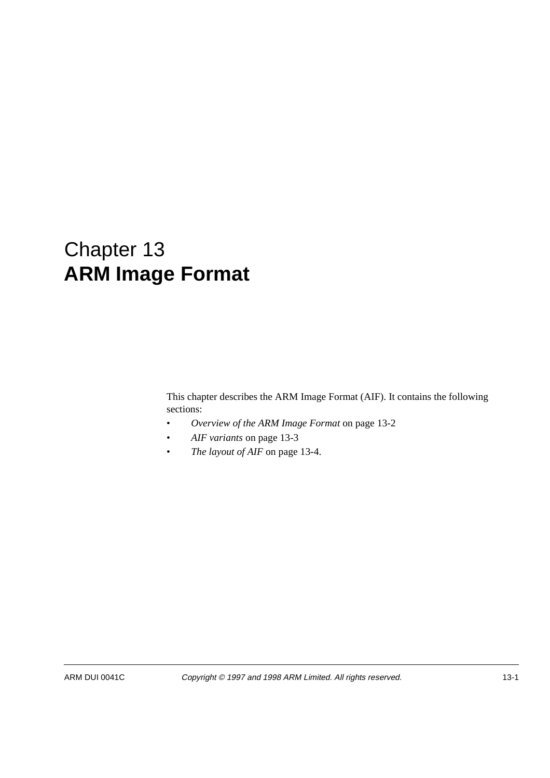# Chapter 13 **ARM Image Format**

This chapter describes the ARM Image Format (AIF). It contains the following sections:

- *Overview of the ARM Image Format* on page 13-2
- *AIF variants* on page 13-3
- *The layout of AIF* on page 13-4.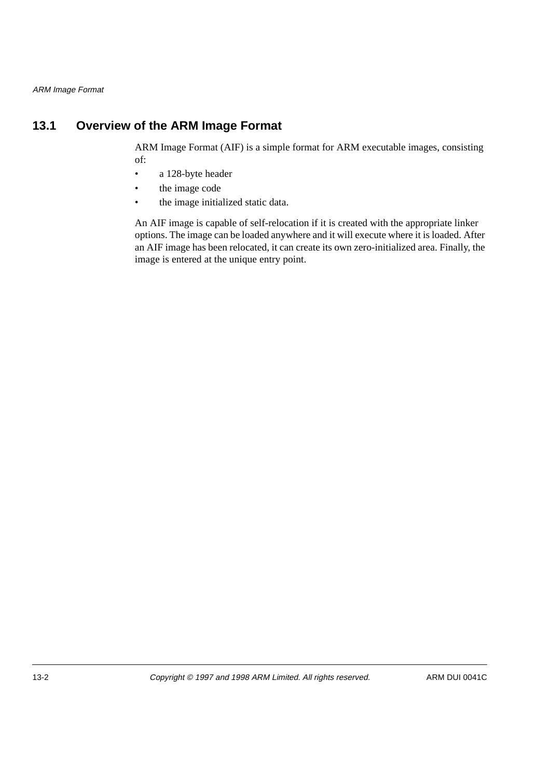# **13.1 Overview of the ARM Image Format**

ARM Image Format (AIF) is a simple format for ARM executable images, consisting of:

- a 128-byte header
- the image code
- the image initialized static data.

An AIF image is capable of self-relocation if it is created with the appropriate linker options. The image can be loaded anywhere and it will execute where it is loaded. After an AIF image has been relocated, it can create its own zero-initialized area. Finally, the image is entered at the unique entry point.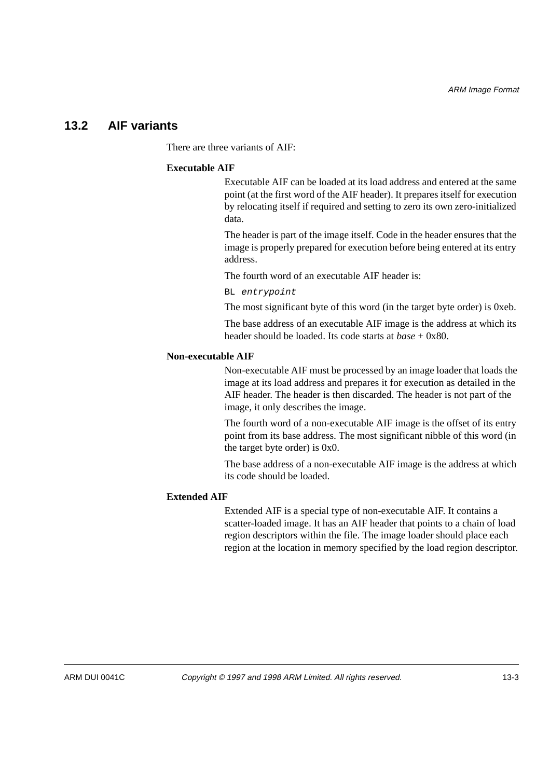## **13.2 AIF variants**

There are three variants of AIF:

#### **Executable AIF**

Executable AIF can be loaded at its load address and entered at the same point (at the first word of the AIF header). It prepares itself for execution by relocating itself if required and setting to zero its own zero-initialized data.

The header is part of the image itself. Code in the header ensures that the image is properly prepared for execution before being entered at its entry address.

The fourth word of an executable AIF header is:

BL entrypoint

The most significant byte of this word (in the target byte order) is 0xeb.

The base address of an executable AIF image is the address at which its header should be loaded. Its code starts at *base* + 0x80.

#### **Non-executable AIF**

Non-executable AIF must be processed by an image loader that loads the image at its load address and prepares it for execution as detailed in the AIF header. The header is then discarded. The header is not part of the image, it only describes the image.

The fourth word of a non-executable AIF image is the offset of its entry point from its base address. The most significant nibble of this word (in the target byte order) is 0x0.

The base address of a non-executable AIF image is the address at which its code should be loaded.

## **Extended AIF**

Extended AIF is a special type of non-executable AIF. It contains a scatter-loaded image. It has an AIF header that points to a chain of load region descriptors within the file. The image loader should place each region at the location in memory specified by the load region descriptor.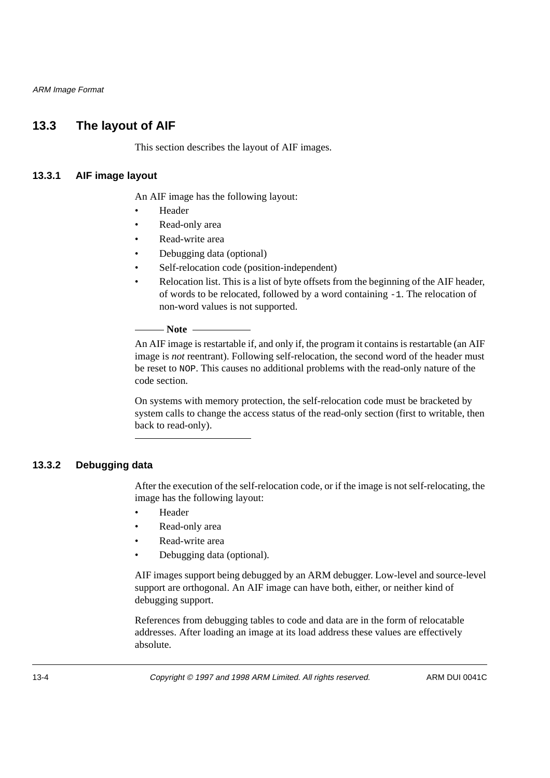ARM Image Format

# **13.3 The layout of AIF**

This section describes the layout of AIF images.

## **13.3.1 AIF image layout**

An AIF image has the following layout:

- Header
- Read-only area
- Read-write area
- Debugging data (optional)
- Self-relocation code (position-independent)
- Relocation list. This is a list of byte offsets from the beginning of the AIF header, of words to be relocated, followed by a word containing -1. The relocation of non-word values is not supported.

#### $-$  Note  $-$

An AIF image is restartable if, and only if, the program it contains is restartable (an AIF image is *not* reentrant). Following self-relocation, the second word of the header must be reset to NOP. This causes no additional problems with the read-only nature of the code section.

On systems with memory protection, the self-relocation code must be bracketed by system calls to change the access status of the read-only section (first to writable, then back to read-only).

## **13.3.2 Debugging data**

After the execution of the self-relocation code, or if the image is not self-relocating, the image has the following layout:

- Header
- Read-only area
- Read-write area
- Debugging data (optional).

AIF images support being debugged by an ARM debugger. Low-level and source-level support are orthogonal. An AIF image can have both, either, or neither kind of debugging support.

References from debugging tables to code and data are in the form of relocatable addresses. After loading an image at its load address these values are effectively absolute.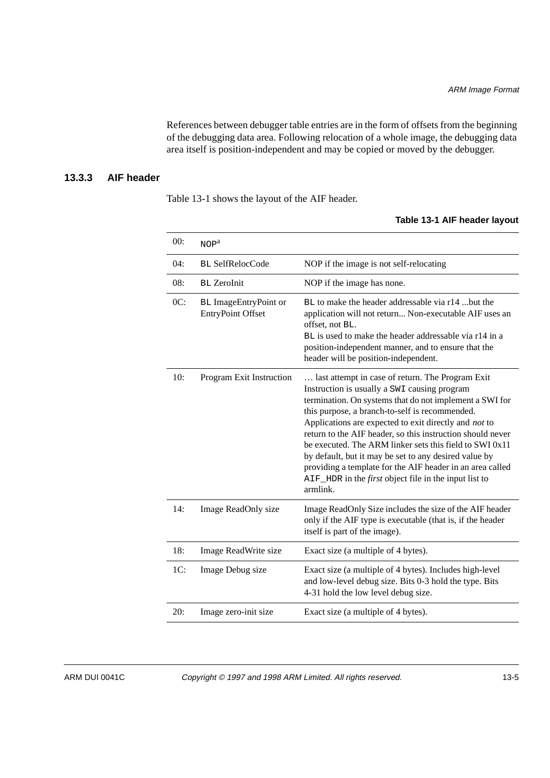References between debugger table entries are in the form of offsets from the beginning of the debugging data area. Following relocation of a whole image, the debugging data area itself is position-independent and may be copied or moved by the debugger.

## **13.3.3 AIF header**

Table 13-1 shows the layout of the AIF header.

#### **Table 13-1 AIF header layout**

| 00: | NOP <sup>a</sup>                                         |                                                                                                                                                                                                                                                                                                                                                                                                                                                                                                                                                                                                   |
|-----|----------------------------------------------------------|---------------------------------------------------------------------------------------------------------------------------------------------------------------------------------------------------------------------------------------------------------------------------------------------------------------------------------------------------------------------------------------------------------------------------------------------------------------------------------------------------------------------------------------------------------------------------------------------------|
| 04: | <b>BL SelfRelocCode</b>                                  | NOP if the image is not self-relocating                                                                                                                                                                                                                                                                                                                                                                                                                                                                                                                                                           |
| 08: | <b>BL</b> ZeroInit                                       | NOP if the image has none.                                                                                                                                                                                                                                                                                                                                                                                                                                                                                                                                                                        |
| OC: | <b>BL</b> ImageEntryPoint or<br><b>EntryPoint Offset</b> | BL to make the header addressable via r14 but the<br>application will not return Non-executable AIF uses an<br>offset, not BL.<br>BL is used to make the header addressable via r14 in a<br>position-independent manner, and to ensure that the<br>header will be position-independent.                                                                                                                                                                                                                                                                                                           |
| 10: | Program Exit Instruction                                 | last attempt in case of return. The Program Exit<br>Instruction is usually a SWI causing program<br>termination. On systems that do not implement a SWI for<br>this purpose, a branch-to-self is recommended.<br>Applications are expected to exit directly and not to<br>return to the AIF header, so this instruction should never<br>be executed. The ARM linker sets this field to SWI 0x11<br>by default, but it may be set to any desired value by<br>providing a template for the AIF header in an area called<br>AIF_HDR in the <i>first</i> object file in the input list to<br>armlink. |
| 14: | Image ReadOnly size                                      | Image ReadOnly Size includes the size of the AIF header<br>only if the AIF type is executable (that is, if the header<br>itself is part of the image).                                                                                                                                                                                                                                                                                                                                                                                                                                            |
| 18: | Image ReadWrite size                                     | Exact size (a multiple of 4 bytes).                                                                                                                                                                                                                                                                                                                                                                                                                                                                                                                                                               |
| 1C: | Image Debug size                                         | Exact size (a multiple of 4 bytes). Includes high-level<br>and low-level debug size. Bits 0-3 hold the type. Bits<br>4-31 hold the low level debug size.                                                                                                                                                                                                                                                                                                                                                                                                                                          |
| 20: | Image zero-init size                                     | Exact size (a multiple of 4 bytes).                                                                                                                                                                                                                                                                                                                                                                                                                                                                                                                                                               |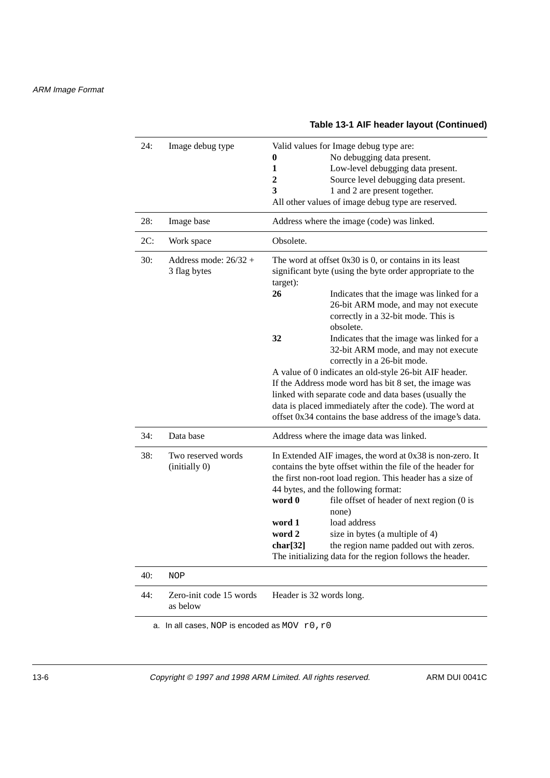#### 24: Image debug type Valid values for Image debug type are: **0** No debugging data present. **1** Low-level debugging data present. **2** Source level debugging data present. **3** 1 and 2 are present together. All other values of image debug type are reserved. 28: Image base Address where the image (code) was linked. 2C: Work space Obsolete. 30: Address mode: 26/32 + 3 flag bytes The word at offset 0x30 is 0, or contains in its least significant byte (using the byte order appropriate to the target): **26** Indicates that the image was linked for a 26-bit ARM mode, and may not execute correctly in a 32-bit mode. This is obsolete. **32** Indicates that the image was linked for a 32-bit ARM mode, and may not execute correctly in a 26-bit mode. A value of 0 indicates an old-style 26-bit AIF header. If the Address mode word has bit 8 set, the image was linked with separate code and data bases (usually the data is placed immediately after the code). The word at offset 0x34 contains the base address of the image's data. 34: Data base Address where the image data was linked. 38: Two reserved words (initially 0) In Extended AIF images, the word at 0x38 is non-zero. It contains the byte offset within the file of the header for the first non-root load region. This header has a size of 44 bytes, and the following format: **word 0** file offset of header of next region (0 is none) **word 1** load address **word 2** size in bytes (a multiple of 4) **char<sup>[32]</sup>** the region name padded out with zeros. The initializing data for the region follows the header. 40: NOP 44: Zero-init code 15 words as below Header is 32 words long. a. In all cases, NOP is encoded as MOV  $r0, r0$

#### **Table 13-1 AIF header layout (Continued)**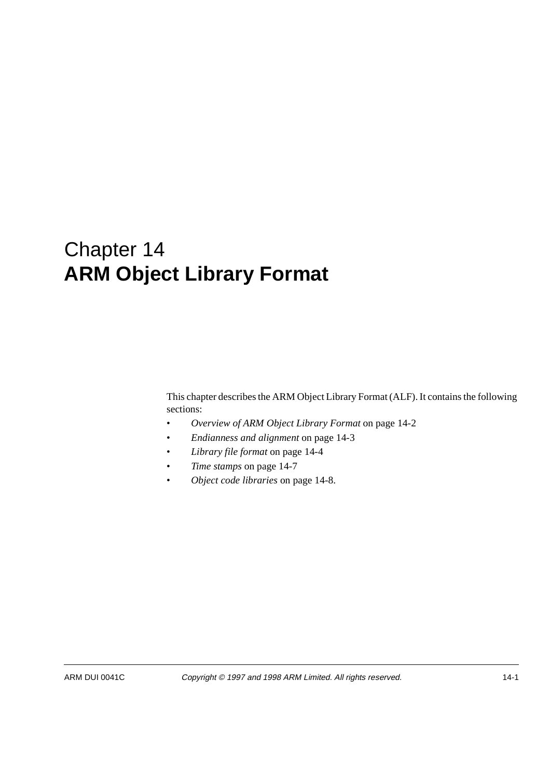# Chapter 14 **ARM Object Library Format**

This chapter describes the ARM Object Library Format (ALF). It contains the following sections:

- *Overview of ARM Object Library Format* on page 14-2
- *Endianness and alignment* on page 14-3
- *Library file format* on page 14-4
- *Time stamps* on page 14-7
- *Object code libraries* on page 14-8.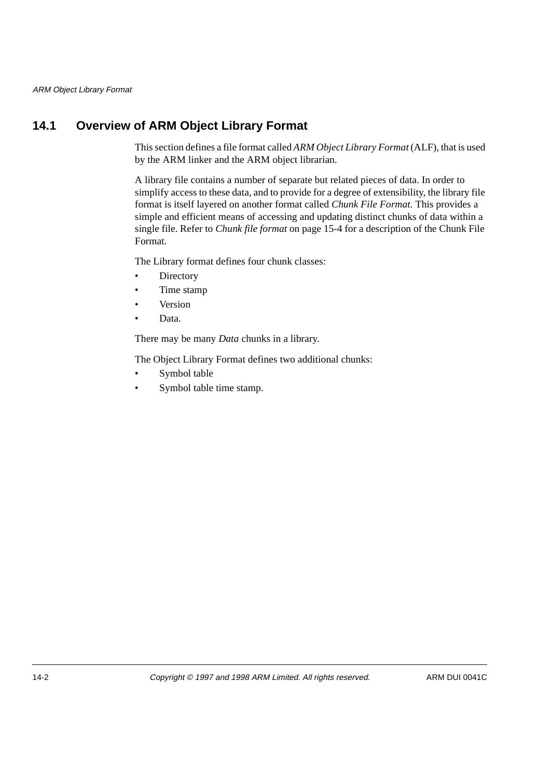# **14.1 Overview of ARM Object Library Format**

This section defines a file format called *ARM Object Library Format* (ALF), that is used by the ARM linker and the ARM object librarian.

A library file contains a number of separate but related pieces of data. In order to simplify access to these data, and to provide for a degree of extensibility, the library file format is itself layered on another format called *Chunk File Format*. This provides a simple and efficient means of accessing and updating distinct chunks of data within a single file. Refer to *Chunk file format* on page 15-4 for a description of the Chunk File Format.

The Library format defines four chunk classes:

- Directory
- Time stamp
- **Version**
- Data.

There may be many *Data* chunks in a library.

The Object Library Format defines two additional chunks:

- Symbol table
- Symbol table time stamp.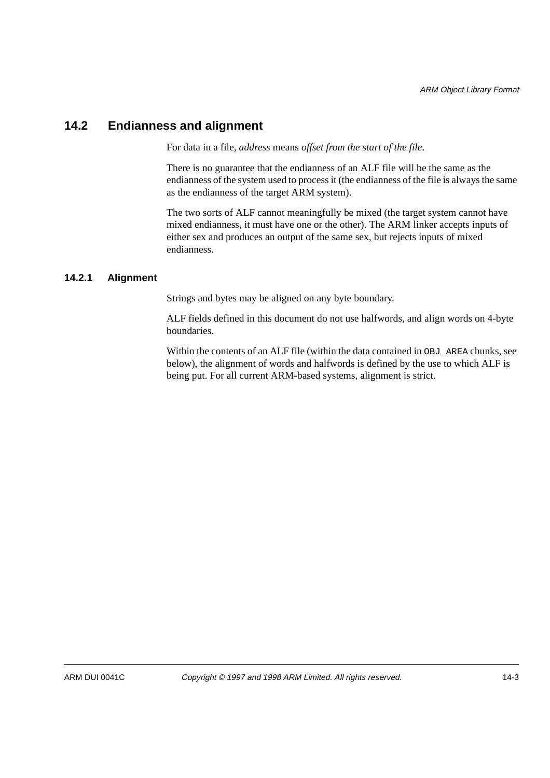# **14.2 Endianness and alignment**

For data in a file, *address* means *offset from the start of the file*.

There is no guarantee that the endianness of an ALF file will be the same as the endianness of the system used to process it (the endianness of the file is always the same as the endianness of the target ARM system).

The two sorts of ALF cannot meaningfully be mixed (the target system cannot have mixed endianness, it must have one or the other). The ARM linker accepts inputs of either sex and produces an output of the same sex, but rejects inputs of mixed endianness.

## **14.2.1 Alignment**

Strings and bytes may be aligned on any byte boundary.

ALF fields defined in this document do not use halfwords, and align words on 4-byte boundaries.

Within the contents of an ALF file (within the data contained in OBJ\_AREA chunks, see below), the alignment of words and halfwords is defined by the use to which ALF is being put. For all current ARM-based systems, alignment is strict.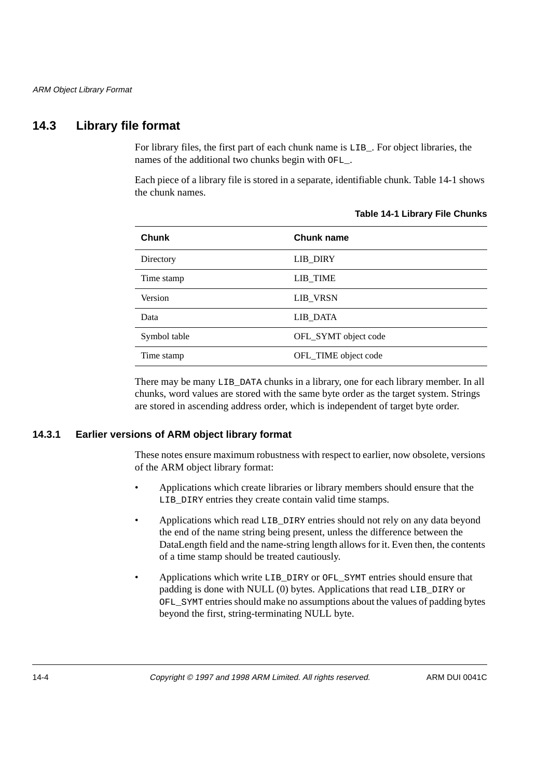# **14.3 Library file format**

For library files, the first part of each chunk name is LIB\_. For object libraries, the names of the additional two chunks begin with OFL\_.

Each piece of a library file is stored in a separate, identifiable chunk. Table 14-1 shows the chunk names.

| <b>Chunk</b> | Chunk name           |
|--------------|----------------------|
| Directory    | <b>LIB_DIRY</b>      |
| Time stamp   | LIB_TIME             |
| Version      | LIB_VRSN             |
| Data         | LIB_DATA             |
| Symbol table | OFL_SYMT object code |
| Time stamp   | OFL_TIME object code |

#### **Table 14-1 Library File Chunks**

There may be many LIB\_DATA chunks in a library, one for each library member. In all chunks, word values are stored with the same byte order as the target system. Strings are stored in ascending address order, which is independent of target byte order.

#### **14.3.1 Earlier versions of ARM object library format**

These notes ensure maximum robustness with respect to earlier, now obsolete, versions of the ARM object library format:

- Applications which create libraries or library members should ensure that the LIB\_DIRY entries they create contain valid time stamps.
- Applications which read LIB\_DIRY entries should not rely on any data beyond the end of the name string being present, unless the difference between the DataLength field and the name-string length allows for it. Even then, the contents of a time stamp should be treated cautiously.
- Applications which write LIB\_DIRY or OFL\_SYMT entries should ensure that padding is done with NULL (0) bytes. Applications that read LIB\_DIRY or OFL\_SYMT entries should make no assumptions about the values of padding bytes beyond the first, string-terminating NULL byte.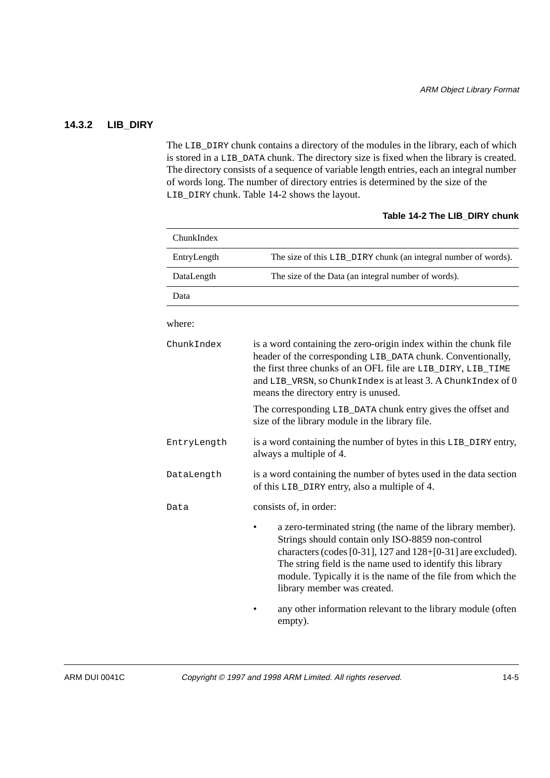## **14.3.2 LIB\_DIRY**

The LIB\_DIRY chunk contains a directory of the modules in the library, each of which is stored in a LIB\_DATA chunk. The directory size is fixed when the library is created. The directory consists of a sequence of variable length entries, each an integral number of words long. The number of directory entries is determined by the size of the LIB\_DIRY chunk. Table 14-2 shows the layout.

| ChunkIndex  |                                                                                                                                                                                                                                                                                                                                           |  |  |
|-------------|-------------------------------------------------------------------------------------------------------------------------------------------------------------------------------------------------------------------------------------------------------------------------------------------------------------------------------------------|--|--|
| EntryLength | The size of this LIB_DIRY chunk (an integral number of words).                                                                                                                                                                                                                                                                            |  |  |
| DataLength  | The size of the Data (an integral number of words).                                                                                                                                                                                                                                                                                       |  |  |
| Data        |                                                                                                                                                                                                                                                                                                                                           |  |  |
| where:      |                                                                                                                                                                                                                                                                                                                                           |  |  |
| ChunkIndex  | is a word containing the zero-origin index within the chunk file<br>header of the corresponding LIB_DATA chunk. Conventionally,<br>the first three chunks of an OFL file are LIB_DIRY, LIB_TIME<br>and LIB_VRSN, so ChunkIndex is at least 3. A ChunkIndex of 0<br>means the directory entry is unused.                                   |  |  |
|             | The corresponding LIB_DATA chunk entry gives the offset and<br>size of the library module in the library file.                                                                                                                                                                                                                            |  |  |
| EntryLength | is a word containing the number of bytes in this LIB_DIRY entry,<br>always a multiple of 4.                                                                                                                                                                                                                                               |  |  |
| DataLength  | is a word containing the number of bytes used in the data section<br>of this LIB_DIRY entry, also a multiple of 4.                                                                                                                                                                                                                        |  |  |
| Data        | consists of, in order:                                                                                                                                                                                                                                                                                                                    |  |  |
|             | a zero-terminated string (the name of the library member).<br>Strings should contain only ISO-8859 non-control<br>characters (codes [0-31], 127 and 128+[0-31] are excluded).<br>The string field is the name used to identify this library<br>module. Typically it is the name of the file from which the<br>library member was created. |  |  |
|             | any other information relevant to the library module (often<br>empty).                                                                                                                                                                                                                                                                    |  |  |

#### **Table 14-2 The LIB\_DIRY chunk**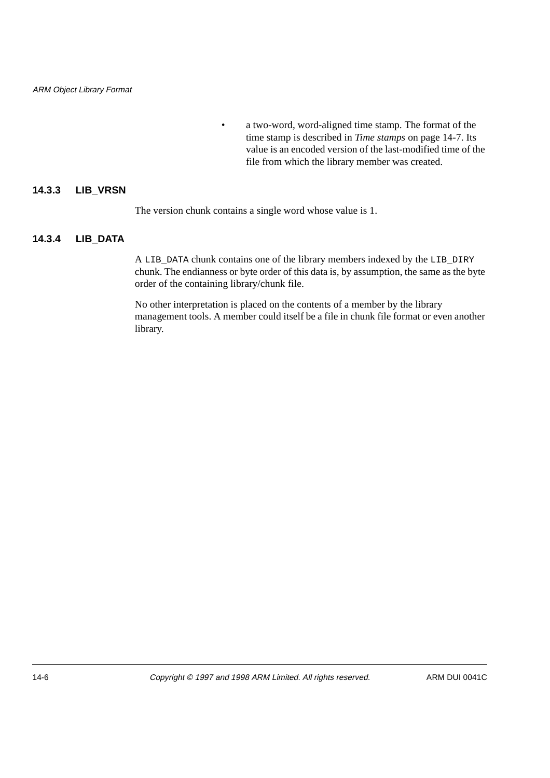• a two-word, word-aligned time stamp. The format of the time stamp is described in *Time stamps* on page 14-7. Its value is an encoded version of the last-modified time of the file from which the library member was created.

#### **14.3.3 LIB\_VRSN**

The version chunk contains a single word whose value is 1.

## **14.3.4 LIB\_DATA**

A LIB\_DATA chunk contains one of the library members indexed by the LIB\_DIRY chunk. The endianness or byte order of this data is, by assumption, the same as the byte order of the containing library/chunk file.

No other interpretation is placed on the contents of a member by the library management tools. A member could itself be a file in chunk file format or even another library.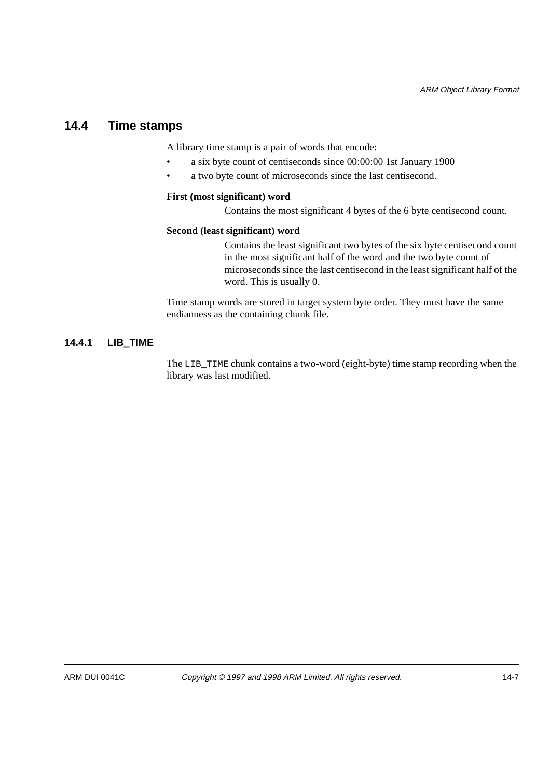# **14.4 Time stamps**

A library time stamp is a pair of words that encode:

- a six byte count of centiseconds since 00:00:00 1st January 1900
- a two byte count of microseconds since the last centisecond.

#### **First (most significant) word**

Contains the most significant 4 bytes of the 6 byte centisecond count.

#### **Second (least significant) word**

Contains the least significant two bytes of the six byte centisecond count in the most significant half of the word and the two byte count of microseconds since the last centisecond in the least significant half of the word. This is usually 0.

Time stamp words are stored in target system byte order. They must have the same endianness as the containing chunk file.

#### **14.4.1 LIB\_TIME**

The LIB TIME chunk contains a two-word (eight-byte) time stamp recording when the library was last modified.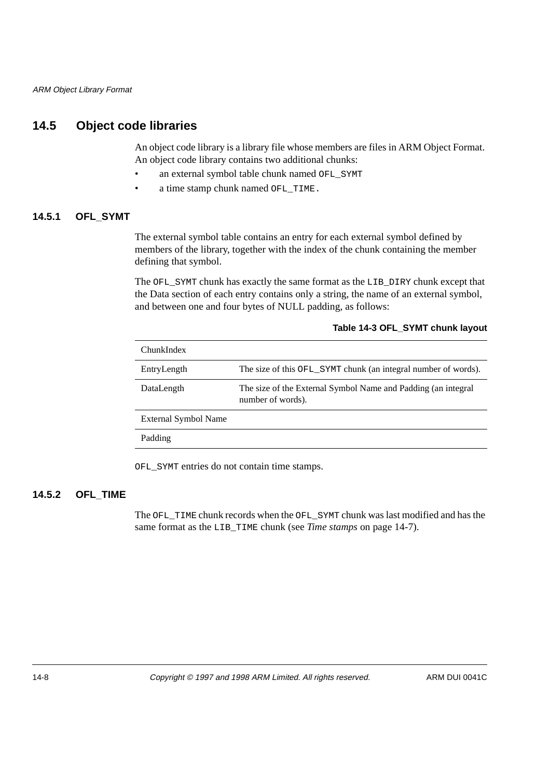## **14.5 Object code libraries**

An object code library is a library file whose members are files in ARM Object Format. An object code library contains two additional chunks:

- an external symbol table chunk named OFL\_SYMT
- a time stamp chunk named OFL\_TIME.

## **14.5.1 OFL\_SYMT**

The external symbol table contains an entry for each external symbol defined by members of the library, together with the index of the chunk containing the member defining that symbol.

The OFL\_SYMT chunk has exactly the same format as the LIB\_DIRY chunk except that the Data section of each entry contains only a string, the name of an external symbol, and between one and four bytes of NULL padding, as follows:

 **Table 14-3 OFL\_SYMT chunk layout**

| ChunkIndex           |                                                                                    |
|----------------------|------------------------------------------------------------------------------------|
| EntryLength          | The size of this OFL_SYMT chunk (an integral number of words).                     |
| DataLength           | The size of the External Symbol Name and Padding (an integral<br>number of words). |
| External Symbol Name |                                                                                    |
| Padding              |                                                                                    |

OFL\_SYMT entries do not contain time stamps.

## **14.5.2 OFL\_TIME**

The OFL\_TIME chunk records when the OFL\_SYMT chunk was last modified and has the same format as the LIB\_TIME chunk (see *Time stamps* on page 14-7).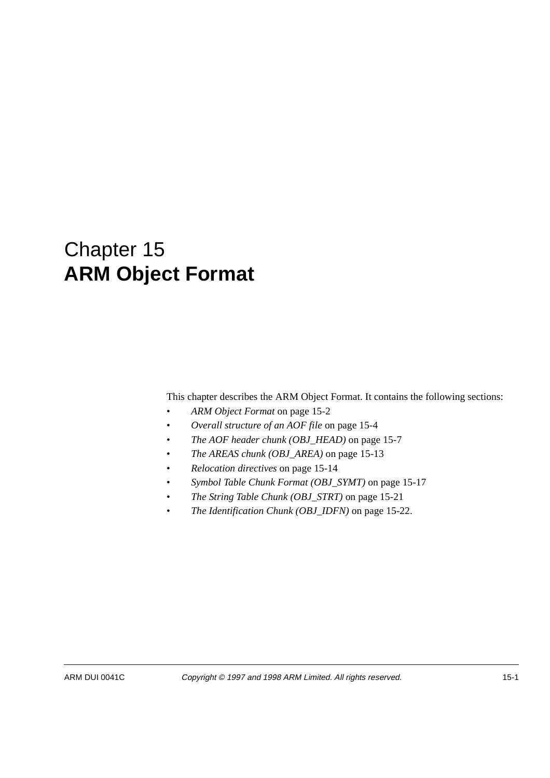# Chapter 15 **ARM Object Format**

This chapter describes the ARM Object Format. It contains the following sections:

- *ARM Object Format* on page 15-2
- *Overall structure of an AOF file* on page 15-4
- *The AOF header chunk (OBJ\_HEAD)* on page 15-7
- *The AREAS chunk (OBJ\_AREA)* on page 15-13
- *Relocation directives* on page 15-14
- *Symbol Table Chunk Format (OBJ\_SYMT)* on page 15-17
- *The String Table Chunk (OBJ\_STRT)* on page 15-21
- *The Identification Chunk (OBJ\_IDFN)* on page 15-22.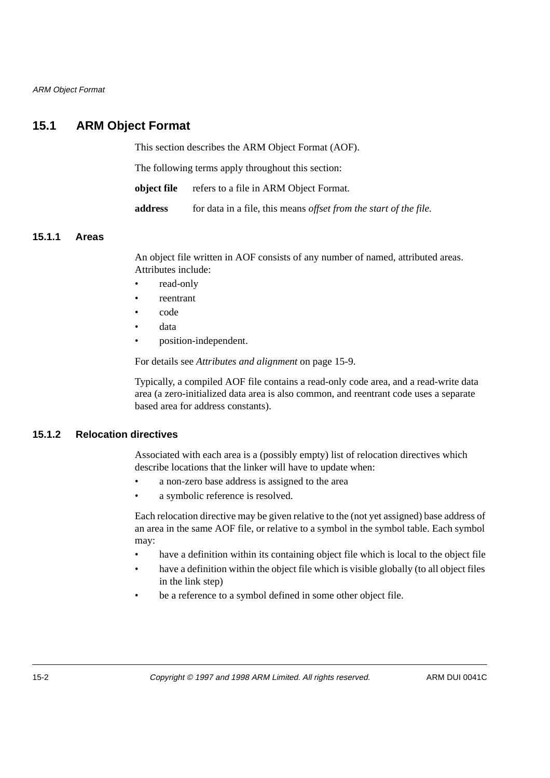ARM Object Format

# **15.1 ARM Object Format**

This section describes the ARM Object Format (AOF).

The following terms apply throughout this section:

**object file** refers to a file in ARM Object Format.

**address** for data in a file, this means *offset from the start of the file.*

#### **15.1.1 Areas**

An object file written in AOF consists of any number of named, attributed areas. Attributes include:

- read-only
- reentrant
- code
- data
- position-independent.

For details see *Attributes and alignment* on page 15-9.

Typically, a compiled AOF file contains a read-only code area, and a read-write data area (a zero-initialized data area is also common, and reentrant code uses a separate based area for address constants).

## **15.1.2 Relocation directives**

Associated with each area is a (possibly empty) list of relocation directives which describe locations that the linker will have to update when:

- a non-zero base address is assigned to the area
- a symbolic reference is resolved.

Each relocation directive may be given relative to the (not yet assigned) base address of an area in the same AOF file, or relative to a symbol in the symbol table. Each symbol may:

- have a definition within its containing object file which is local to the object file
- have a definition within the object file which is visible globally (to all object files in the link step)
- be a reference to a symbol defined in some other object file.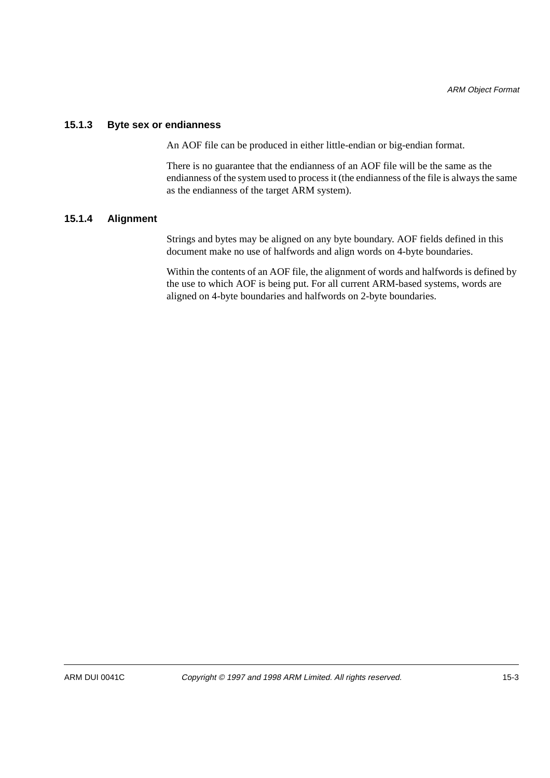#### **15.1.3 Byte sex or endianness**

An AOF file can be produced in either little-endian or big-endian format.

There is no guarantee that the endianness of an AOF file will be the same as the endianness of the system used to process it (the endianness of the file is always the same as the endianness of the target ARM system).

#### **15.1.4 Alignment**

Strings and bytes may be aligned on any byte boundary. AOF fields defined in this document make no use of halfwords and align words on 4-byte boundaries.

Within the contents of an AOF file, the alignment of words and halfwords is defined by the use to which AOF is being put. For all current ARM-based systems, words are aligned on 4-byte boundaries and halfwords on 2-byte boundaries.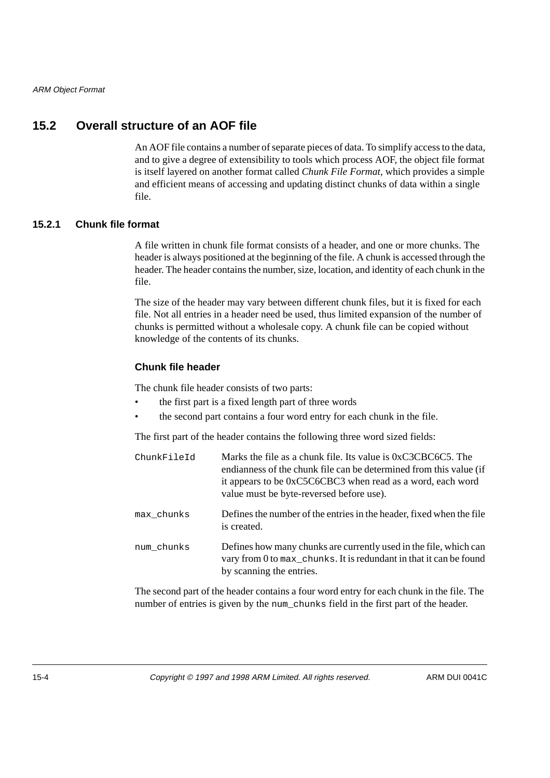# **15.2 Overall structure of an AOF file**

An AOF file contains a number of separate pieces of data. To simplify access to the data, and to give a degree of extensibility to tools which process AOF, the object file format is itself layered on another format called *Chunk File Format*, which provides a simple and efficient means of accessing and updating distinct chunks of data within a single file.

#### **15.2.1 Chunk file format**

A file written in chunk file format consists of a header, and one or more chunks. The header is always positioned at the beginning of the file. A chunk is accessed through the header. The header contains the number, size, location, and identity of each chunk in the file.

The size of the header may vary between different chunk files, but it is fixed for each file. Not all entries in a header need be used, thus limited expansion of the number of chunks is permitted without a wholesale copy. A chunk file can be copied without knowledge of the contents of its chunks.

#### **Chunk file header**

The chunk file header consists of two parts:

- the first part is a fixed length part of three words
- the second part contains a four word entry for each chunk in the file.

The first part of the header contains the following three word sized fields:

| ChunkFileId | Marks the file as a chunk file. Its value is $0 \times C3CBC6C5$ . The<br>endianness of the chunk file can be determined from this value (if<br>it appears to be 0xC5C6CBC3 when read as a word, each word<br>value must be byte-reversed before use). |
|-------------|--------------------------------------------------------------------------------------------------------------------------------------------------------------------------------------------------------------------------------------------------------|
| max chunks  | Defines the number of the entries in the header, fixed when the file<br>is created.                                                                                                                                                                    |
| num chunks  | Defines how many chunks are currently used in the file, which can<br>vary from 0 to max_chunks. It is redundant in that it can be found<br>by scanning the entries.                                                                                    |

The second part of the header contains a four word entry for each chunk in the file. The number of entries is given by the num\_chunks field in the first part of the header.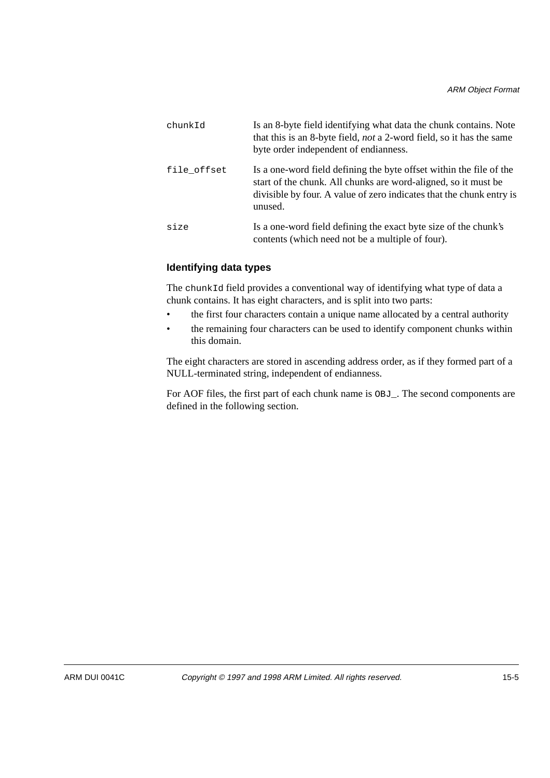| chunkId     | Is an 8-byte field identifying what data the chunk contains. Note<br>that this is an 8-byte field, <i>not</i> a 2-word field, so it has the same<br>byte order independent of endianness.                                |
|-------------|--------------------------------------------------------------------------------------------------------------------------------------------------------------------------------------------------------------------------|
| file offset | Is a one-word field defining the byte offset within the file of the<br>start of the chunk. All chunks are word-aligned, so it must be<br>divisible by four. A value of zero indicates that the chunk entry is<br>unused. |
| size        | Is a one-word field defining the exact byte size of the chunk's<br>contents (which need not be a multiple of four).                                                                                                      |

## **Identifying data types**

The chunkId field provides a conventional way of identifying what type of data a chunk contains. It has eight characters, and is split into two parts:

- the first four characters contain a unique name allocated by a central authority
- the remaining four characters can be used to identify component chunks within this domain.

The eight characters are stored in ascending address order, as if they formed part of a NULL-terminated string, independent of endianness.

For AOF files, the first part of each chunk name is OBJ\_. The second components are defined in the following section.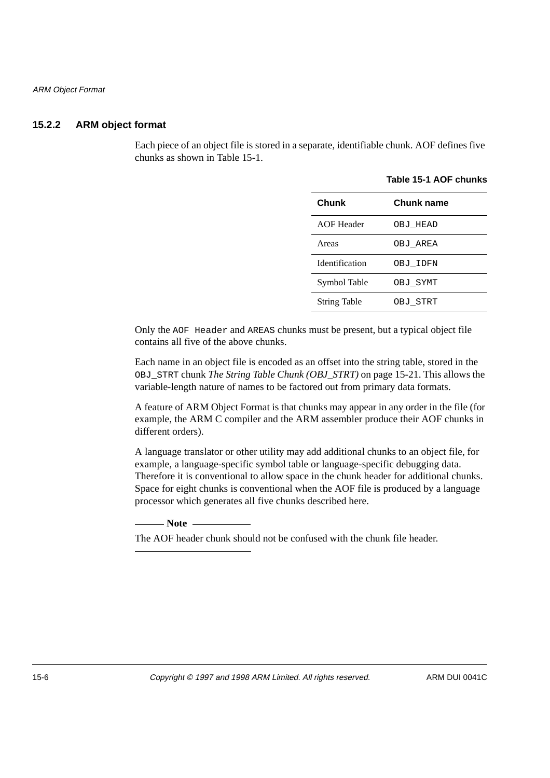## **15.2.2 ARM object format**

Each piece of an object file is stored in a separate, identifiable chunk. AOF defines five chunks as shown in Table 15-1.

| Chunk                 | Chunk name |
|-----------------------|------------|
| <b>AOF</b> Header     | OBJ HEAD   |
| Areas                 | OBJ AREA   |
| <b>Identification</b> | OBJ IDFN   |
| Symbol Table          | OBJ SYMT   |
| <b>String Table</b>   | OBJ STRT   |

 **Table 15-1 AOF chunks**

Only the AOF Header and AREAS chunks must be present, but a typical object file contains all five of the above chunks.

Each name in an object file is encoded as an offset into the string table, stored in the OBJ\_STRT chunk *The String Table Chunk (OBJ\_STRT)* on page 15-21. This allows the variable-length nature of names to be factored out from primary data formats.

A feature of ARM Object Format is that chunks may appear in any order in the file (for example, the ARM C compiler and the ARM assembler produce their AOF chunks in different orders).

A language translator or other utility may add additional chunks to an object file, for example, a language-specific symbol table or language-specific debugging data. Therefore it is conventional to allow space in the chunk header for additional chunks. Space for eight chunks is conventional when the AOF file is produced by a language processor which generates all five chunks described here.

- Note -

The AOF header chunk should not be confused with the chunk file header.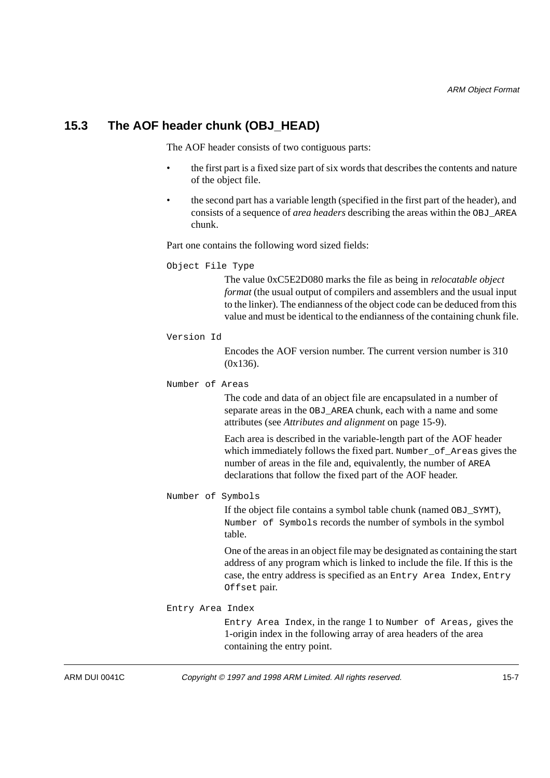## **15.3 The AOF header chunk (OBJ\_HEAD)**

The AOF header consists of two contiguous parts:

- the first part is a fixed size part of six words that describes the contents and nature of the object file.
- the second part has a variable length (specified in the first part of the header), and consists of a sequence of *area headers* describing the areas within the OBJ\_AREA chunk.

Part one contains the following word sized fields:

Object File Type

The value 0xC5E2D080 marks the file as being in *relocatable object format* (the usual output of compilers and assemblers and the usual input to the linker). The endianness of the object code can be deduced from this value and must be identical to the endianness of the containing chunk file.

Version Id

Encodes the AOF version number. The current version number is 310 (0x136).

Number of Areas

The code and data of an object file are encapsulated in a number of separate areas in the OBJ AREA chunk, each with a name and some attributes (see *Attributes and alignment* on page 15-9).

Each area is described in the variable-length part of the AOF header which immediately follows the fixed part. Number of Areas gives the number of areas in the file and, equivalently, the number of AREA declarations that follow the fixed part of the AOF header.

Number of Symbols

If the object file contains a symbol table chunk (named OBJ\_SYMT), Number of Symbols records the number of symbols in the symbol table.

One of the areas in an object file may be designated as containing the start address of any program which is linked to include the file. If this is the case, the entry address is specified as an Entry Area Index*,* Entry Offset pair.

#### Entry Area Index

Entry Area Index, in the range 1 to Number of Areas, gives the 1-origin index in the following array of area headers of the area containing the entry point.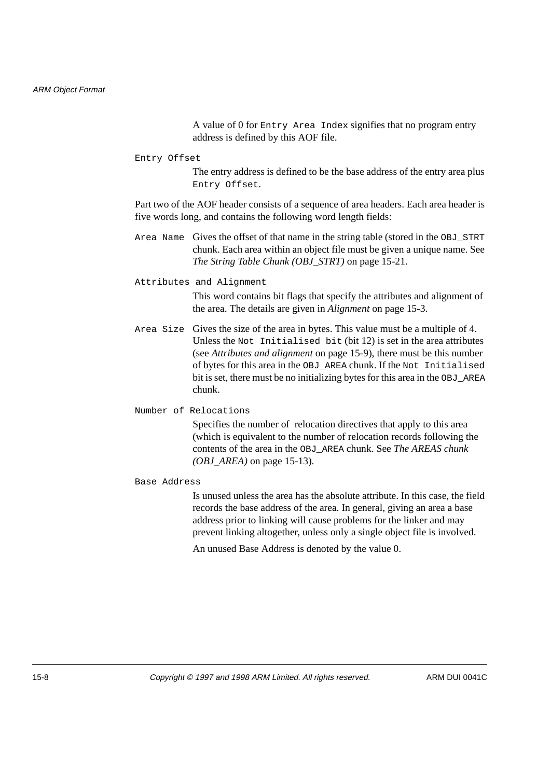A value of 0 for Entry Area Index signifies that no program entry address is defined by this AOF file.

#### Entry Offset

The entry address is defined to be the base address of the entry area plus Entry Offset.

Part two of the AOF header consists of a sequence of area headers. Each area header is five words long, and contains the following word length fields:

- Area Name Gives the offset of that name in the string table (stored in the OBJ\_STRT chunk. Each area within an object file must be given a unique name. See *The String Table Chunk (OBJ\_STRT)* on page 15-21.
- Attributes and Alignment

This word contains bit flags that specify the attributes and alignment of the area. The details are given in *Alignment* on page 15-3.

Area Size Gives the size of the area in bytes. This value must be a multiple of 4. Unless the Not Initialised bit (bit 12) is set in the area attributes (see *Attributes and alignment* on page 15-9), there must be this number of bytes for this area in the OBJ\_AREA chunk. If the Not Initialised bit is set, there must be no initializing bytes for this area in the OBJ\_AREA chunk.

#### Number of Relocations

Specifies the number of relocation directives that apply to this area (which is equivalent to the number of relocation records following the contents of the area in the OBJ\_AREA chunk. See *The AREAS chunk (OBJ\_AREA)* on page 15-13).

#### Base Address

Is unused unless the area has the absolute attribute. In this case, the field records the base address of the area. In general, giving an area a base address prior to linking will cause problems for the linker and may prevent linking altogether, unless only a single object file is involved.

An unused Base Address is denoted by the value 0.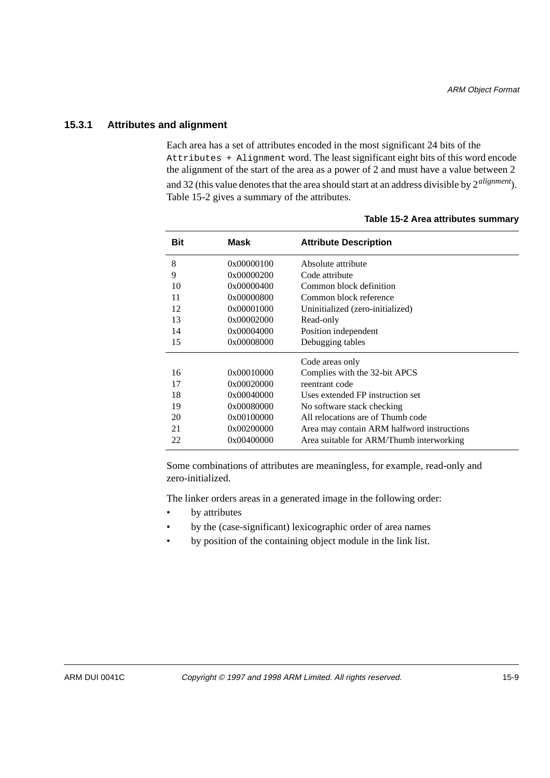#### **15.3.1 Attributes and alignment**

Each area has a set of attributes encoded in the most significant 24 bits of the Attributes + Alignment word. The least significant eight bits of this word encode the alignment of the start of the area as a power of 2 and must have a value between 2 and 32 (this value denotes that the area should start at an address divisible by 2*alignment*). Table 15-2 gives a summary of the attributes.

| Mask       | <b>Attribute Description</b>               |
|------------|--------------------------------------------|
| 0x00000100 | Absolute attribute                         |
| 0x00000200 | Code attribute                             |
| 0x00000400 | Common block definition                    |
| 0x00000800 | Common block reference                     |
| 0x00001000 | Uninitialized (zero-initialized)           |
| 0x00002000 | Read-only                                  |
| 0x00004000 | Position independent                       |
| 0x00008000 | Debugging tables                           |
|            | Code areas only                            |
| 0x00010000 | Complies with the 32-bit APCS              |
| 0x00020000 | reentrant code                             |
| 0x00040000 | Uses extended FP instruction set           |
| 0x00080000 | No software stack checking                 |
| 0x00100000 | All relocations are of Thumb code          |
| 0x00200000 | Area may contain ARM halfword instructions |
| 0x00400000 | Area suitable for ARM/Thumb interworking   |
|            |                                            |

#### **Table 15-2 Area attributes summary**

Some combinations of attributes are meaningless, for example, read-only and zero-initialized.

The linker orders areas in a generated image in the following order:

- by attributes
- by the (case-significant) lexicographic order of area names
- by position of the containing object module in the link list.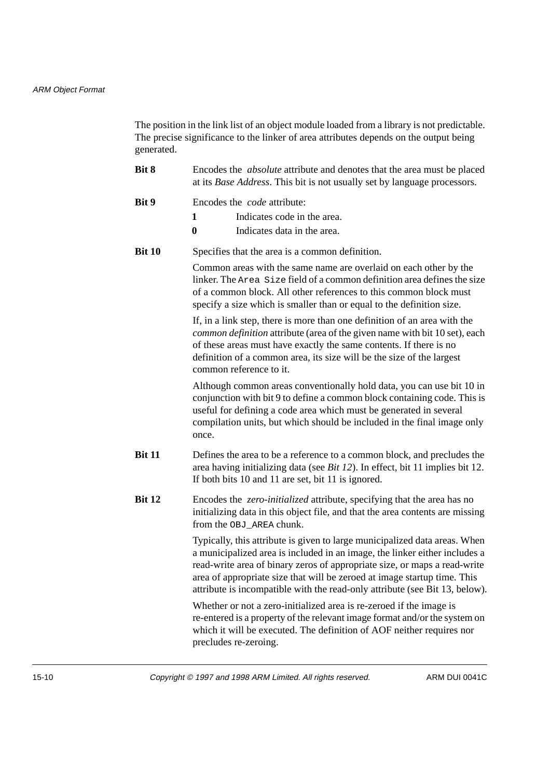#### ARM Object Format

The position in the link list of an object module loaded from a library is not predictable. The precise significance to the linker of area attributes depends on the output being generated.

- **Bit 8** Encodes the *absolute* attribute and denotes that the area must be placed at its *Base Address*. This bit is not usually set by language processors.
- **Bit 9 Encodes the** *code* **attribute:** 
	- **1** Indicates code in the area.
	- **0** Indicates data in the area.
- **Bit 10** Specifies that the area is a common definition.

Common areas with the same name are overlaid on each other by the linker. The Area Size field of a common definition area defines the size of a common block. All other references to this common block must specify a size which is smaller than or equal to the definition size.

If, in a link step, there is more than one definition of an area with the *common definition* attribute (area of the given name with bit 10 set), each of these areas must have exactly the same contents. If there is no definition of a common area, its size will be the size of the largest common reference to it.

Although common areas conventionally hold data, you can use bit 10 in conjunction with bit 9 to define a common block containing code. This is useful for defining a code area which must be generated in several compilation units, but which should be included in the final image only once.

- **Bit 11** Defines the area to be a reference to a common block, and precludes the area having initializing data (see *Bit 12*). In effect, bit 11 implies bit 12. If both bits 10 and 11 are set, bit 11 is ignored.
- **Bit 12** Encodes the *zero-initialized* attribute, specifying that the area has no initializing data in this object file, and that the area contents are missing from the OBJ\_AREA chunk.

Typically, this attribute is given to large municipalized data areas. When a municipalized area is included in an image, the linker either includes a read-write area of binary zeros of appropriate size, or maps a read-write area of appropriate size that will be zeroed at image startup time. This attribute is incompatible with the read-only attribute (see Bit 13, below).

Whether or not a zero-initialized area is re-zeroed if the image is re-entered is a property of the relevant image format and/or the system on which it will be executed. The definition of AOF neither requires nor precludes re-zeroing.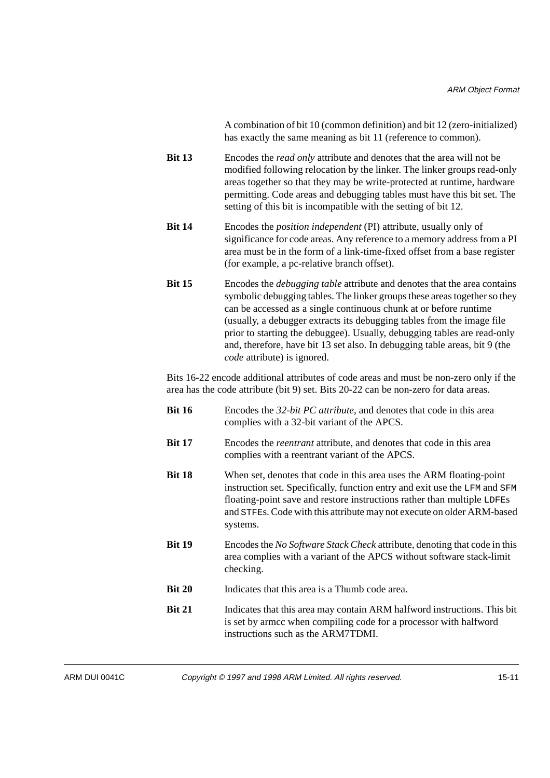A combination of bit 10 (common definition) and bit 12 (zero-initialized) has exactly the same meaning as bit 11 (reference to common).

- **Bit 13** Encodes the *read only* attribute and denotes that the area will not be modified following relocation by the linker. The linker groups read-only areas together so that they may be write-protected at runtime, hardware permitting. Code areas and debugging tables must have this bit set. The setting of this bit is incompatible with the setting of bit 12.
- **Bit 14** Encodes the *position independent* (PI) attribute, usually only of significance for code areas. Any reference to a memory address from a PI area must be in the form of a link-time-fixed offset from a base register (for example, a pc-relative branch offset).
- **Bit 15** Encodes the *debugging table* attribute and denotes that the area contains symbolic debugging tables. The linker groups these areas together so they can be accessed as a single continuous chunk at or before runtime (usually, a debugger extracts its debugging tables from the image file prior to starting the debuggee). Usually, debugging tables are read-only and, therefore, have bit 13 set also. In debugging table areas, bit 9 (the *code* attribute) is ignored.

Bits 16-22 encode additional attributes of code areas and must be non-zero only if the area has the code attribute (bit 9) set. Bits 20-22 can be non-zero for data areas.

- **Bit 16** Encodes the *32-bit PC attribute*, and denotes that code in this area complies with a 32-bit variant of the APCS. **Bit 17** Encodes the *reentrant* attribute, and denotes that code in this area complies with a reentrant variant of the APCS.
- **Bit 18** When set, denotes that code in this area uses the ARM floating-point instruction set. Specifically, function entry and exit use the LFM and SFM floating-point save and restore instructions rather than multiple LDFEs and STFEs. Code with this attribute may not execute on older ARM-based systems.
- **Bit 19** Encodes the *No Software Stack Check* attribute, denoting that code in this area complies with a variant of the APCS without software stack-limit checking.
- **Bit 20** Indicates that this area is a Thumb code area.
- **Bit 21** Indicates that this area may contain ARM halfword instructions. This bit is set by armcc when compiling code for a processor with halfword instructions such as the ARM7TDMI.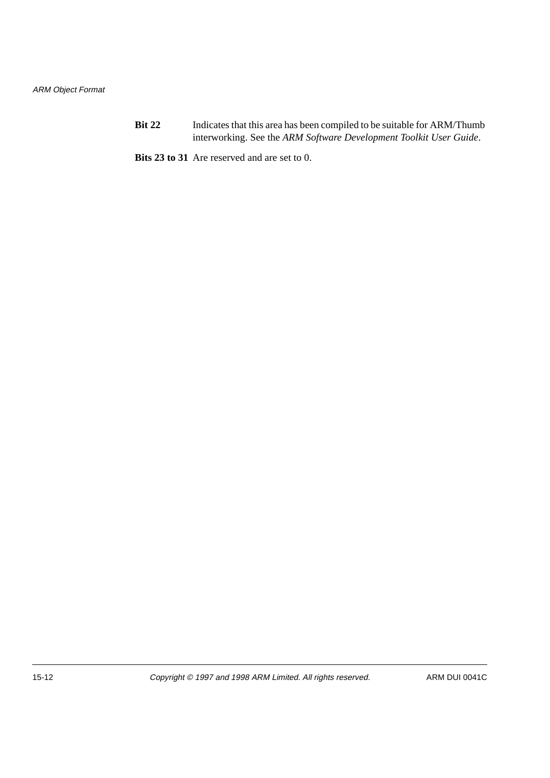**Bit 22** Indicates that this area has been compiled to be suitable for ARM/Thumb interworking. See the *ARM Software Development Toolkit User Guide*.

**Bits 23 to 31** Are reserved and are set to 0.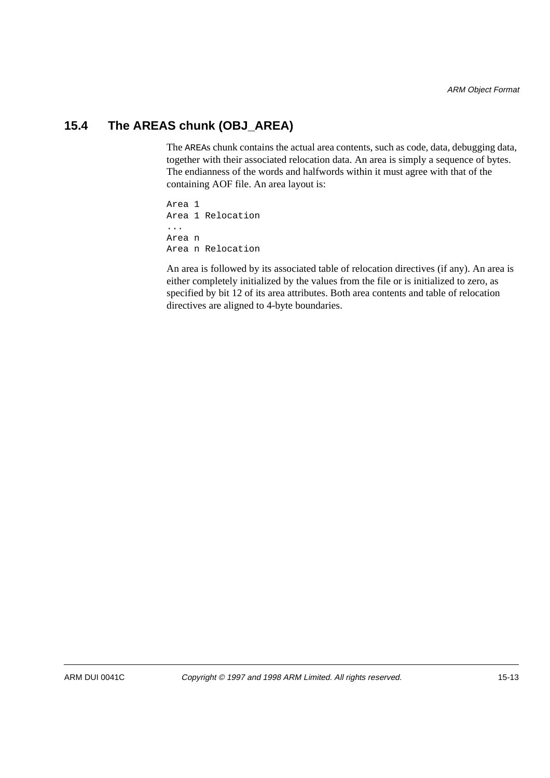# **15.4 The AREAS chunk (OBJ\_AREA)**

The AREAs chunk contains the actual area contents, such as code, data, debugging data, together with their associated relocation data. An area is simply a sequence of bytes. The endianness of the words and halfwords within it must agree with that of the containing AOF file. An area layout is:

Area 1 Area 1 Relocation ... Area n Area n Relocation

An area is followed by its associated table of relocation directives (if any). An area is either completely initialized by the values from the file or is initialized to zero, as specified by bit 12 of its area attributes. Both area contents and table of relocation directives are aligned to 4-byte boundaries.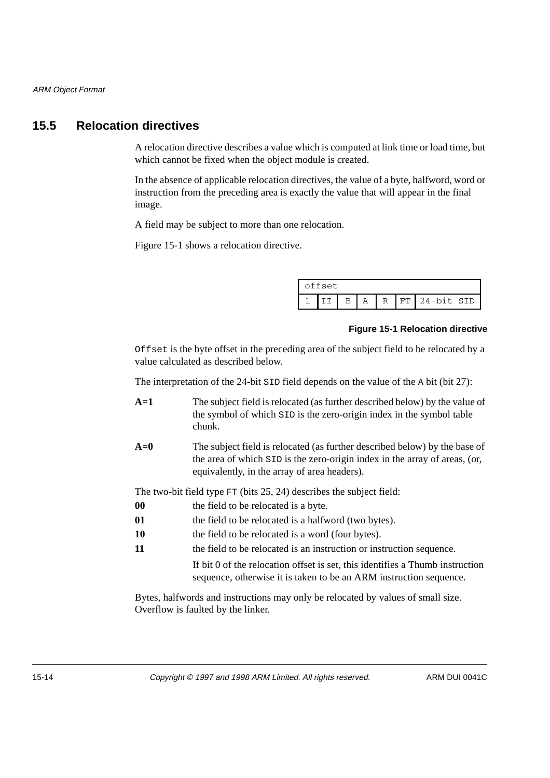## **15.5 Relocation directives**

A relocation directive describes a value which is computed at link time or load time, but which cannot be fixed when the object module is created.

In the absence of applicable relocation directives, the value of a byte, halfword, word or instruction from the preceding area is exactly the value that will appear in the final image.

A field may be subject to more than one relocation.

Figure 15-1 shows a relocation directive.

| offset |  |  |   |  |  |                  |
|--------|--|--|---|--|--|------------------|
|        |  |  | Α |  |  | R IFT 24-bit SID |

#### **Figure 15-1 Relocation directive**

Offset is the byte offset in the preceding area of the subject field to be relocated by a value calculated as described below.

The interpretation of the 24-bit SID field depends on the value of the A bit (bit 27):

- **A=1** The subject field is relocated (as further described below) by the value of the symbol of which SID is the zero-origin index in the symbol table chunk.
- **A=0** The subject field is relocated (as further described below) by the base of the area of which SID is the zero-origin index in the array of areas, (or, equivalently, in the array of area headers).

The two-bit field type FT (bits 25, 24) describes the subject field:

- **00** the field to be relocated is a byte.
- **01 the field to be relocated is a halfword (two bytes).**
- **10** the field to be relocated is a word (four bytes).
- **11 the field to be relocated is an instruction or instruction sequence.**

If bit 0 of the relocation offset is set, this identifies a Thumb instruction sequence, otherwise it is taken to be an ARM instruction sequence.

Bytes, halfwords and instructions may only be relocated by values of small size. Overflow is faulted by the linker.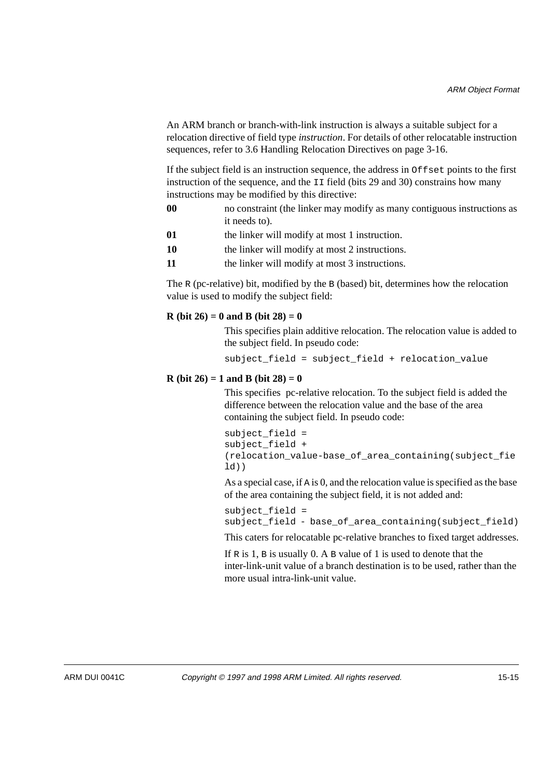An ARM branch or branch-with-link instruction is always a suitable subject for a relocation directive of field type *instruction*. For details of other relocatable instruction sequences, refer to 3.6 Handling Relocation Directives on page 3-16.

If the subject field is an instruction sequence, the address in Offset points to the first instruction of the sequence, and the II field (bits 29 and 30) constrains how many instructions may be modified by this directive:

- **00** no constraint (the linker may modify as many contiguous instructions as it needs to).
- **01 the linker will modify at most 1 instruction.**
- **10** the linker will modify at most 2 instructions.
- **11** the linker will modify at most 3 instructions.

The R (pc-relative) bit, modified by the B (based) bit, determines how the relocation value is used to modify the subject field:

#### **R (bit 26) = 0 and B (bit 28) = 0**

This specifies plain additive relocation. The relocation value is added to the subject field. In pseudo code:

subject\_field = subject\_field + relocation\_value

#### **R** (bit  $26$ ) = 1 and **B** (bit  $28$ ) = 0

This specifies pc-relative relocation. To the subject field is added the difference between the relocation value and the base of the area containing the subject field. In pseudo code:

```
subject_field = 
subject_field + 
(relocation_value-base_of_area_containing(subject_fie
ld))
```
As a special case, if A is 0, and the relocation value is specified as the base of the area containing the subject field, it is not added and:

```
subject field =
subject_field - base_of_area_containing(subject_field)
```
This caters for relocatable pc-relative branches to fixed target addresses.

If  $R$  is 1,  $B$  is usually 0. A  $B$  value of 1 is used to denote that the inter-link-unit value of a branch destination is to be used, rather than the more usual intra-link-unit value.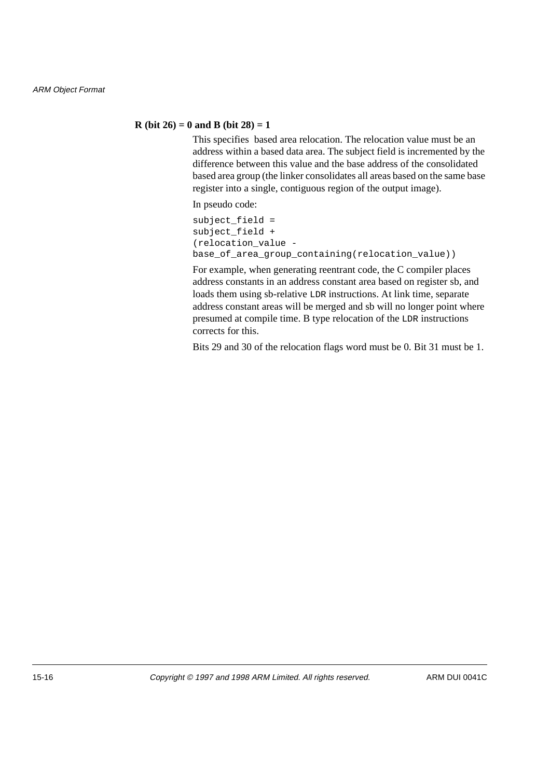#### **R** (bit  $26$ ) = 0 and B (bit  $28$ ) = 1

This specifies based area relocation. The relocation value must be an address within a based data area. The subject field is incremented by the difference between this value and the base address of the consolidated based area group (the linker consolidates all areas based on the same base register into a single, contiguous region of the output image).

In pseudo code:

subject  $field =$ subject\_field + (relocation\_value base\_of\_area\_group\_containing(relocation\_value))

For example, when generating reentrant code, the C compiler places address constants in an address constant area based on register sb, and loads them using sb-relative LDR instructions. At link time, separate address constant areas will be merged and sb will no longer point where presumed at compile time. B type relocation of the LDR instructions corrects for this.

Bits 29 and 30 of the relocation flags word must be 0. Bit 31 must be 1.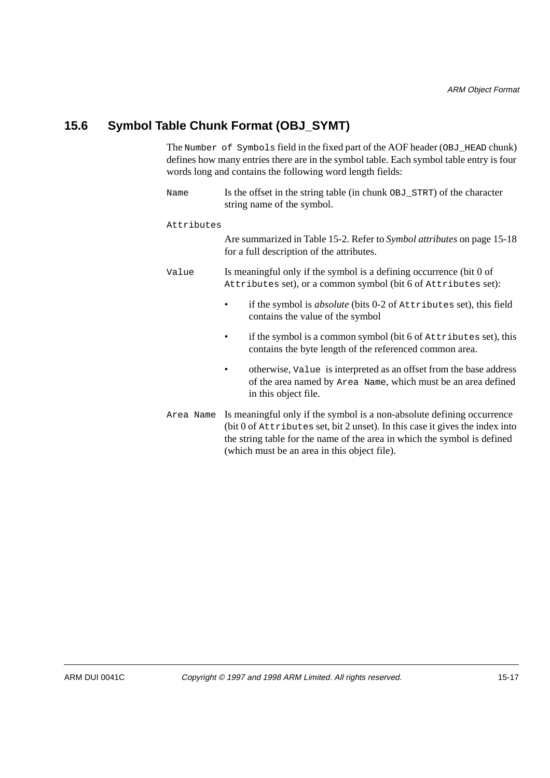# **15.6 Symbol Table Chunk Format (OBJ\_SYMT)**

The Number of Symbols field in the fixed part of the AOF header (OBJ\_HEAD chunk) defines how many entries there are in the symbol table. Each symbol table entry is four words long and contains the following word length fields:

| Name       | Is the offset in the string table (in chunk OBJ_STRT) of the character<br>string name of the symbol.                                                                                                                                                                                                                                                                                                           |  |  |  |  |
|------------|----------------------------------------------------------------------------------------------------------------------------------------------------------------------------------------------------------------------------------------------------------------------------------------------------------------------------------------------------------------------------------------------------------------|--|--|--|--|
| Attributes |                                                                                                                                                                                                                                                                                                                                                                                                                |  |  |  |  |
|            | Are summarized in Table 15-2. Refer to Symbol attributes on page 15-18<br>for a full description of the attributes.                                                                                                                                                                                                                                                                                            |  |  |  |  |
| Value      | Is meaningful only if the symbol is a defining occurrence (bit 0 of<br>Attributes set), or a common symbol (bit 6 of Attributes set):                                                                                                                                                                                                                                                                          |  |  |  |  |
|            | if the symbol is <i>absolute</i> (bits 0-2 of Attributes set), this field<br>contains the value of the symbol                                                                                                                                                                                                                                                                                                  |  |  |  |  |
|            | if the symbol is a common symbol (bit 6 of Attributes set), this<br>contains the byte length of the referenced common area.                                                                                                                                                                                                                                                                                    |  |  |  |  |
|            | otherwise, value is interpreted as an offset from the base address<br>٠<br>of the area named by Area Name, which must be an area defined<br>in this object file.                                                                                                                                                                                                                                               |  |  |  |  |
|            | Area Name Is meaningful only if the symbol is a non-absolute defining occurrence<br>$A^{\dagger}$ , $\alpha$ , $C$ , and $C$ , $A^{\dagger}$ , $A^{\dagger}$ , $A^{\dagger}$ , $A^{\dagger}$ , $A^{\dagger}$ , $A^{\dagger}$ , $A^{\dagger}$ , $A^{\dagger}$ , $A^{\dagger}$ , $A^{\dagger}$ , $A^{\dagger}$ , $A^{\dagger}$ , $A^{\dagger}$ , $A^{\dagger}$ , $A^{\dagger}$ , $A^{\dagger}$ , $A^{\dagger}$ , |  |  |  |  |

(bit 0 of Attributes set, bit 2 unset). In this case it gives the index into the string table for the name of the area in which the symbol is defined (which must be an area in this object file).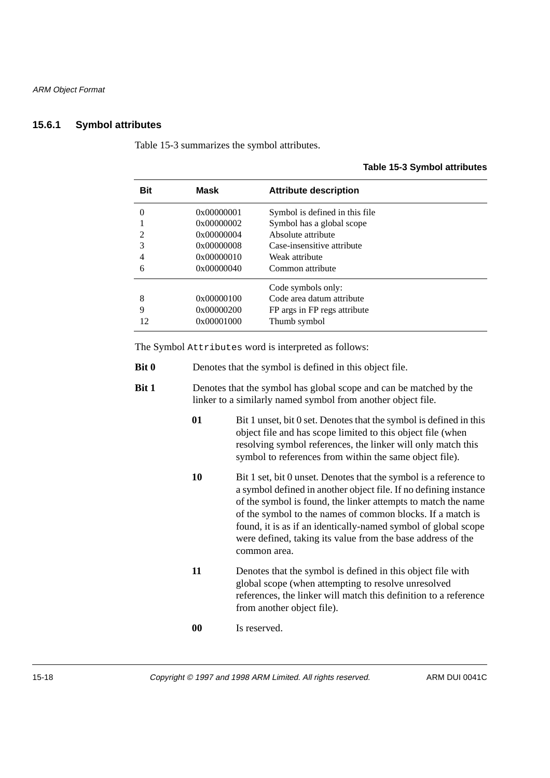## **15.6.1 Symbol attributes**

Table 15-3 summarizes the symbol attributes.

| <b>Bit</b>                                             | Mask                                                                             | <b>Attribute description</b>                                                                                                                          |
|--------------------------------------------------------|----------------------------------------------------------------------------------|-------------------------------------------------------------------------------------------------------------------------------------------------------|
| $\theta$<br>$\mathcal{D}_{\mathcal{L}}$<br>3<br>4<br>6 | 0x00000001<br>0x00000002<br>0x00000004<br>0x00000008<br>0x00000010<br>0x00000040 | Symbol is defined in this file<br>Symbol has a global scope<br>Absolute attribute<br>Case-insensitive attribute<br>Weak attribute<br>Common attribute |
| 8<br>9<br>12                                           | 0x00000100<br>0x00000200<br>0x00001000                                           | Code symbols only:<br>Code area datum attribute<br>FP args in FP regs attribute<br>Thumb symbol                                                       |

The Symbol Attributes word is interpreted as follows:

| <b>Bit 0</b> | Denotes that the symbol is defined in this object file. |
|--------------|---------------------------------------------------------|
|--------------|---------------------------------------------------------|

- **Bit 1** Denotes that the symbol has global scope and can be matched by the linker to a similarly named symbol from another object file.
	- **01** Bit 1 unset, bit 0 set. Denotes that the symbol is defined in this object file and has scope limited to this object file (when resolving symbol references, the linker will only match this symbol to references from within the same object file).
	- **10** Bit 1 set, bit 0 unset. Denotes that the symbol is a reference to a symbol defined in another object file. If no defining instance of the symbol is found, the linker attempts to match the name of the symbol to the names of common blocks. If a match is found, it is as if an identically-named symbol of global scope were defined, taking its value from the base address of the common area.
	- **11** Denotes that the symbol is defined in this object file with global scope (when attempting to resolve unresolved references, the linker will match this definition to a reference from another object file).
	- **00** Is reserved.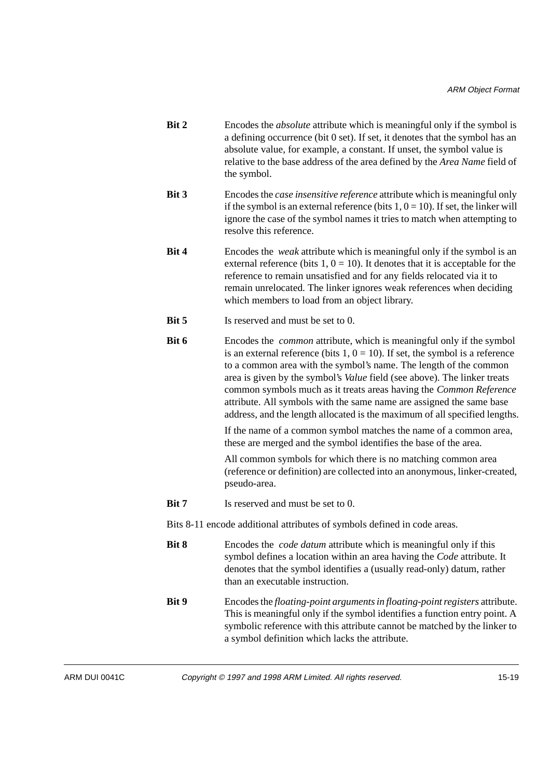- **Bit 2** Encodes the *absolute* attribute which is meaningful only if the symbol is a defining occurrence (bit 0 set). If set, it denotes that the symbol has an absolute value, for example, a constant. If unset, the symbol value is relative to the base address of the area defined by the *Area Name* field of the symbol.
- **Bit 3** Encodes the *case insensitive reference* attribute which is meaningful only if the symbol is an external reference (bits  $1, 0 = 10$ ). If set, the linker will ignore the case of the symbol names it tries to match when attempting to resolve this reference.
- **Bit 4** Encodes the *weak* attribute which is meaningful only if the symbol is an external reference (bits  $1, 0 = 10$ ). It denotes that it is acceptable for the reference to remain unsatisfied and for any fields relocated via it to remain unrelocated. The linker ignores weak references when deciding which members to load from an object library.
- **Bit 5** Is reserved and must be set to 0.
- **Bit 6** Encodes the *common* attribute, which is meaningful only if the symbol is an external reference (bits  $1, 0 = 10$ ). If set, the symbol is a reference to a common area with the symbol's name. The length of the common area is given by the symbol's *Value* field (see above). The linker treats common symbols much as it treats areas having the *Common Reference* attribute. All symbols with the same name are assigned the same base address, and the length allocated is the maximum of all specified lengths.

If the name of a common symbol matches the name of a common area, these are merged and the symbol identifies the base of the area.

All common symbols for which there is no matching common area (reference or definition) are collected into an anonymous, linker-created, pseudo-area.

**Bit 7** Is reserved and must be set to 0.

Bits 8-11 encode additional attributes of symbols defined in code areas.

- **Bit 8** Encodes the *code datum* attribute which is meaningful only if this symbol defines a location within an area having the *Code* attribute. It denotes that the symbol identifies a (usually read-only) datum, rather than an executable instruction. **Bit 9** Encodes the *floating-point arguments in floating-point registers* attribute.
	- This is meaningful only if the symbol identifies a function entry point. A symbolic reference with this attribute cannot be matched by the linker to a symbol definition which lacks the attribute.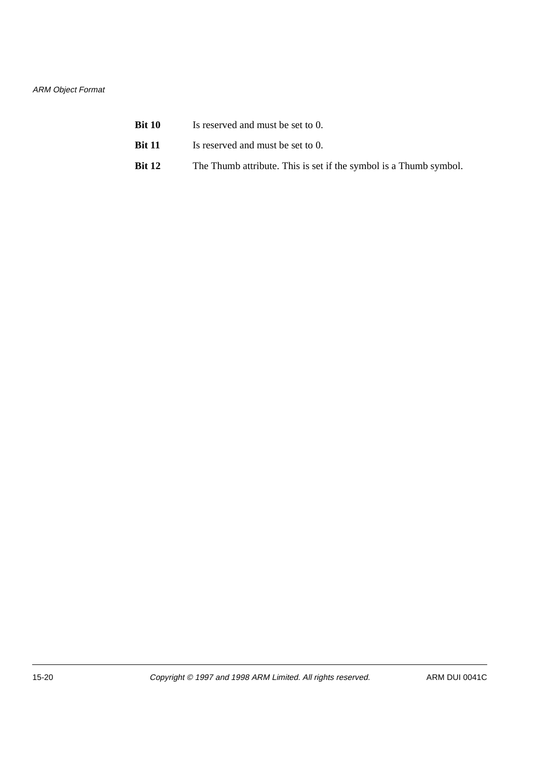#### ARM Object Format

| <b>Bit 10</b> | Is reserved and must be set to 0.                                 |
|---------------|-------------------------------------------------------------------|
| <b>Bit 11</b> | Is reserved and must be set to 0.                                 |
| <b>Bit 12</b> | The Thumb attribute. This is set if the symbol is a Thumb symbol. |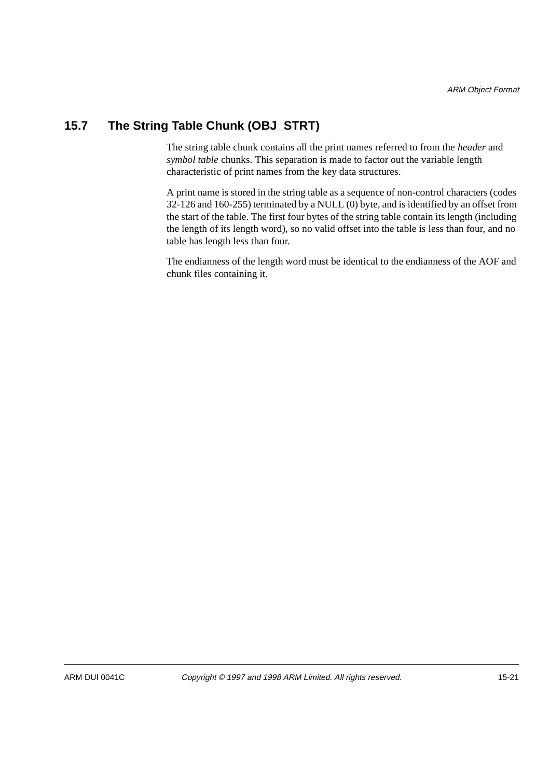# **15.7 The String Table Chunk (OBJ\_STRT)**

The string table chunk contains all the print names referred to from the *header* and *symbol table* chunks. This separation is made to factor out the variable length characteristic of print names from the key data structures.

A print name is stored in the string table as a sequence of non-control characters (codes 32-126 and 160-255) terminated by a NULL (0) byte, and is identified by an offset from the start of the table. The first four bytes of the string table contain its length (including the length of its length word), so no valid offset into the table is less than four, and no table has length less than four.

The endianness of the length word must be identical to the endianness of the AOF and chunk files containing it.